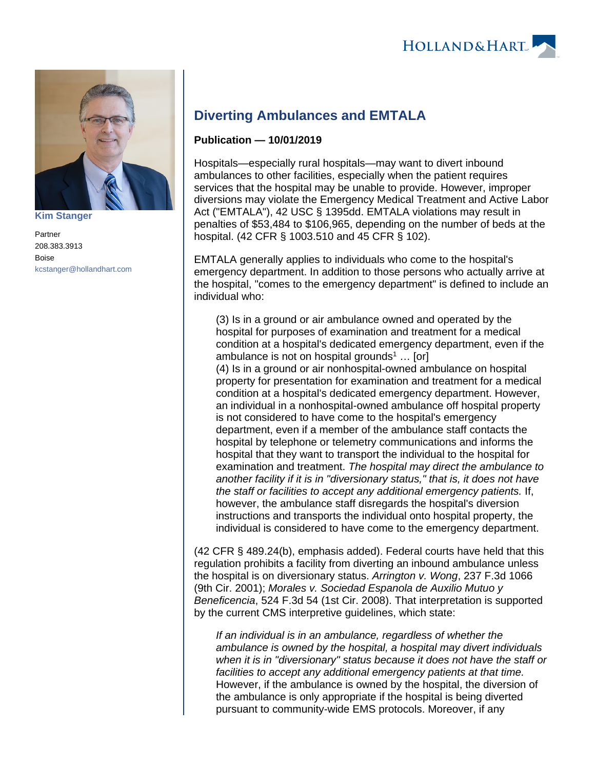

**[Kim Stanger](https://www.hollandhart.com/15954)**

Partner 208.383.3913 Boise [kcstanger@hollandhart.com](mailto:kcstanger@hollandhart.com)

## **Diverting Ambulances and EMTALA**

## **Publication — 10/01/2019**

Hospitals—especially rural hospitals—may want to divert inbound ambulances to other facilities, especially when the patient requires services that the hospital may be unable to provide. However, improper diversions may violate the Emergency Medical Treatment and Active Labor Act ("EMTALA"), 42 USC § 1395dd. EMTALA violations may result in penalties of \$53,484 to \$106,965, depending on the number of beds at the hospital. (42 CFR § 1003.510 and 45 CFR § 102).

EMTALA generally applies to individuals who come to the hospital's emergency department. In addition to those persons who actually arrive at the hospital, "comes to the emergency department" is defined to include an individual who:

(3) Is in a ground or air ambulance owned and operated by the hospital for purposes of examination and treatment for a medical condition at a hospital's dedicated emergency department, even if the ambulance is not on hospital grounds<sup>1</sup> ... [or] (4) Is in a ground or air nonhospital-owned ambulance on hospital property for presentation for examination and treatment for a medical condition at a hospital's dedicated emergency department. However, an individual in a nonhospital-owned ambulance off hospital property is not considered to have come to the hospital's emergency department, even if a member of the ambulance staff contacts the hospital by telephone or telemetry communications and informs the hospital that they want to transport the individual to the hospital for examination and treatment. The hospital may direct the ambulance to another facility if it is in "diversionary status," that is, it does not have the staff or facilities to accept any additional emergency patients. If, however, the ambulance staff disregards the hospital's diversion instructions and transports the individual onto hospital property, the individual is considered to have come to the emergency department.

(42 CFR § 489.24(b), emphasis added). Federal courts have held that this regulation prohibits a facility from diverting an inbound ambulance unless the hospital is on diversionary status. Arrington v. Wong, 237 F.3d 1066 (9th Cir. 2001); Morales v. Sociedad Espanola de Auxilio Mutuo y Beneficencia, 524 F.3d 54 (1st Cir. 2008). That interpretation is supported by the current CMS interpretive guidelines, which state:

If an individual is in an ambulance, regardless of whether the ambulance is owned by the hospital, a hospital may divert individuals when it is in "diversionary" status because it does not have the staff or facilities to accept any additional emergency patients at that time. However, if the ambulance is owned by the hospital, the diversion of the ambulance is only appropriate if the hospital is being diverted pursuant to community-wide EMS protocols. Moreover, if any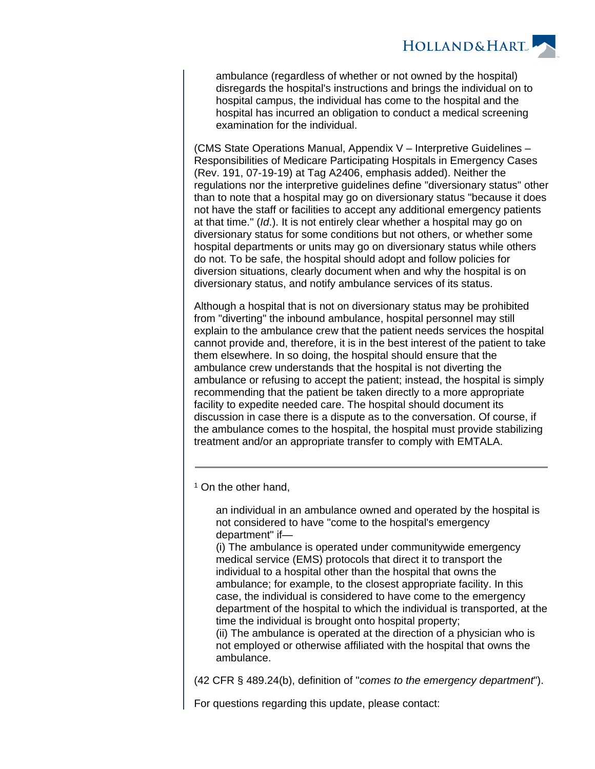

ambulance (regardless of whether or not owned by the hospital) disregards the hospital's instructions and brings the individual on to hospital campus, the individual has come to the hospital and the hospital has incurred an obligation to conduct a medical screening examination for the individual.

(CMS State Operations Manual, Appendix V – Interpretive Guidelines – Responsibilities of Medicare Participating Hospitals in Emergency Cases (Rev. 191, 07-19-19) at Tag A2406, emphasis added). Neither the regulations nor the interpretive guidelines define "diversionary status" other than to note that a hospital may go on diversionary status "because it does not have the staff or facilities to accept any additional emergency patients at that time." (Id.). It is not entirely clear whether a hospital may go on diversionary status for some conditions but not others, or whether some hospital departments or units may go on diversionary status while others do not. To be safe, the hospital should adopt and follow policies for diversion situations, clearly document when and why the hospital is on diversionary status, and notify ambulance services of its status.

Although a hospital that is not on diversionary status may be prohibited from "diverting" the inbound ambulance, hospital personnel may still explain to the ambulance crew that the patient needs services the hospital cannot provide and, therefore, it is in the best interest of the patient to take them elsewhere. In so doing, the hospital should ensure that the ambulance crew understands that the hospital is not diverting the ambulance or refusing to accept the patient; instead, the hospital is simply recommending that the patient be taken directly to a more appropriate facility to expedite needed care. The hospital should document its discussion in case there is a dispute as to the conversation. Of course, if the ambulance comes to the hospital, the hospital must provide stabilizing treatment and/or an appropriate transfer to comply with EMTALA.

<sup>1</sup> On the other hand,

an individual in an ambulance owned and operated by the hospital is not considered to have "come to the hospital's emergency department" if—

(i) The ambulance is operated under communitywide emergency medical service (EMS) protocols that direct it to transport the individual to a hospital other than the hospital that owns the ambulance; for example, to the closest appropriate facility. In this case, the individual is considered to have come to the emergency department of the hospital to which the individual is transported, at the time the individual is brought onto hospital property;

(ii) The ambulance is operated at the direction of a physician who is not employed or otherwise affiliated with the hospital that owns the ambulance.

(42 CFR § 489.24(b), definition of "comes to the emergency department").

For questions regarding this update, please contact: